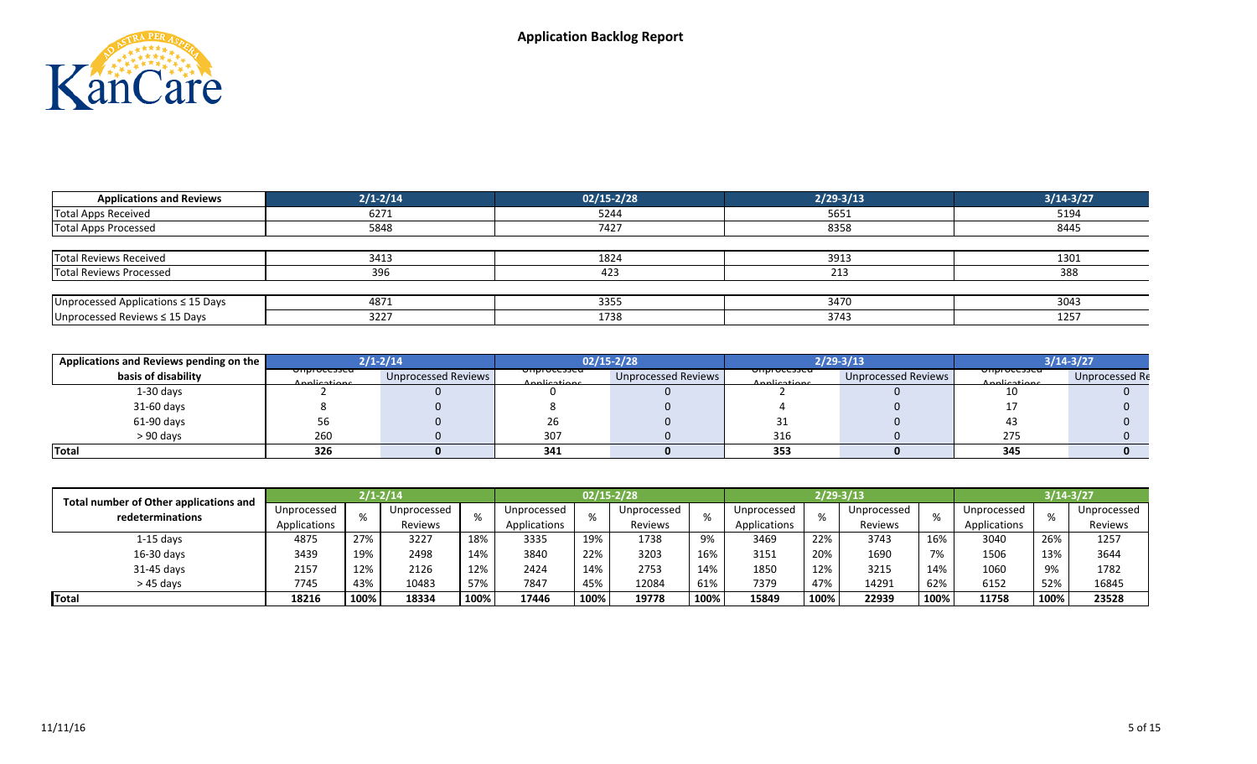

| <b>Applications and Reviews</b>         | $2/1 - 2/14$ | $02/15 - 2/28$ | $2/29 - 3/13$ | $3/14 - 3/27$ |
|-----------------------------------------|--------------|----------------|---------------|---------------|
| Total Apps Received                     | 6271         | 5244           | 5651          | 5194          |
| Total Apps Processed                    | 5848         | 7427           | 8358          | 8445          |
|                                         |              |                |               |               |
| Total Reviews Received                  | 3413         | 1824           | 3913          | 1301          |
| Total Reviews Processed                 | 396          | 423            | 213           | 388           |
|                                         |              |                |               |               |
| Unprocessed Applications $\leq$ 15 Days | 4871         | 3355           | 3470          | 3043          |
| Unprocessed Reviews ≤ 15 Days           | 3227         | 1738           | 3743          | 1257          |

| Applications and Reviews pending on the |                                          | $2/1 - 2/14$        |                                          | $02/15 - 2/28$      |                                        | 2/29-3/13           | 3/14-3/27                                |                |  |  |
|-----------------------------------------|------------------------------------------|---------------------|------------------------------------------|---------------------|----------------------------------------|---------------------|------------------------------------------|----------------|--|--|
| basis of disability                     | <del>omprocesseu -</del><br>Applications | Unprocessed Reviews | <del>omprocesseu -</del><br>Applications | Unprocessed Reviews | <del>omprocesseu</del><br>Applications | Unprocessed Reviews | <del>omprocesseu -</del><br>Applications | Unprocessed Re |  |  |
| $1-30$ days                             |                                          |                     |                                          |                     |                                        |                     | 10                                       |                |  |  |
| 31-60 days                              |                                          |                     |                                          |                     |                                        |                     |                                          |                |  |  |
| 61-90 days                              |                                          |                     | 2b.                                      |                     |                                        |                     |                                          |                |  |  |
| $> 90$ days                             | 260                                      |                     | 307                                      |                     | 316                                    |                     | 275                                      |                |  |  |
| Total                                   | 326                                      |                     | 341                                      |                     | 353                                    |                     | 345                                      |                |  |  |

| Total number of Other applications and |              |      | $2/1 - 2/14$ |      |              |      | 02/15-2/28  |      |              |      | 2/29-3/13   |      | $3/14 - 3/27$ |      |             |  |
|----------------------------------------|--------------|------|--------------|------|--------------|------|-------------|------|--------------|------|-------------|------|---------------|------|-------------|--|
| redeterminations                       | Unprocessed  | %    | Unprocessed  |      | Unprocessed  |      | Unprocessed |      | Unprocessed  | %    | Unprocessed | %    | Unprocessed   |      | Unprocessed |  |
|                                        | Applications |      | Reviews      |      | Applications |      | Reviews     | 70   | Applications |      | Reviews     |      | Applications  | 7٥   | Reviews     |  |
| $1-15$ days                            | 4875         | 27%  | 3227         | 18%  | 3335         | 19%  | 1738        | 9%   | 3469         | 22%  | 3743        | 16%  | 3040          | 26%  | 1257        |  |
| 16-30 days                             | 3439         | 19%  | 2498         | 14%  | 3840         | 22%  | 3203        | 16%  | 3151         | 20%  | 1690        | 7%   | 1506          | 13%  | 3644        |  |
| 31-45 days                             | 2157         | 12%  | 2126         | 12%  | 2424         | 14%  | 2753        | 14%  | 1850         | 12%  | 3215        | 14%  | 1060          | 9%   | 1782        |  |
| $>45$ davs                             | 7745         | 43%  | 10483        | 57%  | 7847         | 45%  | 12084       | 61%  | 7379         | 47%  | 14291       | 62%  | 6152          | 52%  | 16845       |  |
| Total                                  | 18216        | 100% | 18334        | 100% | 17446        | 100% | 19778       | 100% | 15849        | 100% | 22939       | 100% | 11758         | 100% | 23528       |  |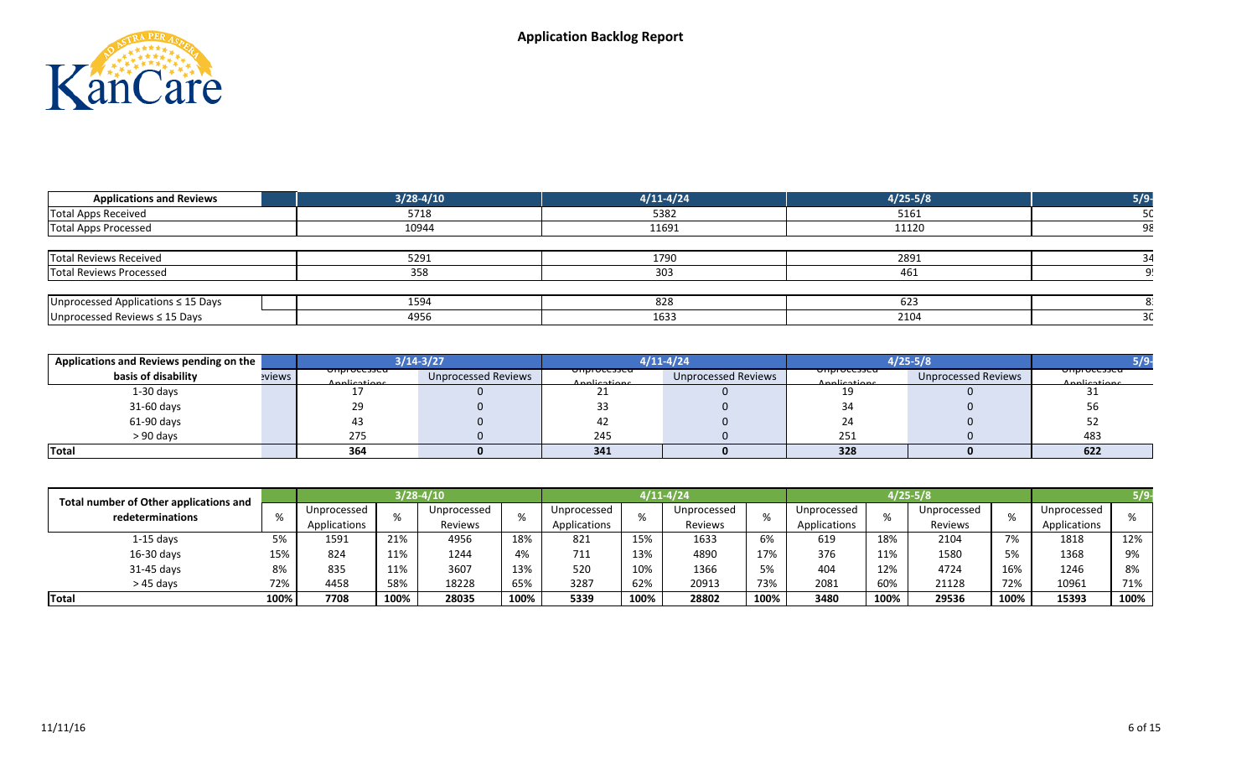

| <b>Applications and Reviews</b>         | $3/28 - 4/10$ | $4/11 - 4/24$ | $4/25 - 5/8$ | 5/9 |
|-----------------------------------------|---------------|---------------|--------------|-----|
| Total Apps Received                     | 5718          | 5382          | 5161         |     |
| Total Apps Processed                    | 10944         | 11691         | 11120        |     |
|                                         |               |               |              |     |
| Total Reviews Received                  | 5291          | 1790          | 2891         |     |
| Total Reviews Processed                 | 358           | 303           | 461          |     |
|                                         |               |               |              |     |
| Unprocessed Applications $\leq$ 15 Days | 1594          | 828           | 623          |     |
| Unprocessed Reviews $\leq$ 15 Days      | 4956          | 1633          | 2104         |     |

| Applications and Reviews pending on the |        |                                          | 8/14-3/27                  |                                          | 1/11-4/24                  |                                          | $1/25 - 5/8$               |                                         |  |
|-----------------------------------------|--------|------------------------------------------|----------------------------|------------------------------------------|----------------------------|------------------------------------------|----------------------------|-----------------------------------------|--|
| basis of disability                     | eviews | <del>omprocesseu -</del><br>Annlications | <b>Unprocessed Reviews</b> | <del>omprocesseu -</del><br>Annlications | <b>Unprocessed Reviews</b> | <del>omprocesseu -</del><br>Applications | <b>Unprocessed Reviews</b> | <del>onprocessea:</del><br>Applications |  |
| $1-30$ days                             |        |                                          |                            |                                          |                            | 10                                       |                            | ັ                                       |  |
| 31-60 days                              |        | 29                                       |                            |                                          |                            |                                          |                            | 56                                      |  |
| 61-90 days                              |        | 43                                       |                            | —4∠                                      |                            |                                          |                            | ےر                                      |  |
| > 90 davs                               |        | 275                                      |                            | 245                                      |                            | 251                                      |                            | 483                                     |  |
| <b>Total</b>                            |        | 364                                      |                            | 341                                      |                            | 328                                      |                            | 622                                     |  |

| Total number of Other applications and |      |                          |         | $3/28 - 4/10$ |              |             |         | 4/11-4/24   |              | $4/25 - 5/8$ |         |             |              |             |      |  |
|----------------------------------------|------|--------------------------|---------|---------------|--------------|-------------|---------|-------------|--------------|--------------|---------|-------------|--------------|-------------|------|--|
| redeterminations                       |      | Unprocessed<br>$\Omega'$ |         | Unprocessed   |              | Unprocessed |         | Unprocessed |              | Unprocessed  |         | Unprocessed |              | Unprocessed |      |  |
|                                        |      | Applications             | Reviews | -7с           | Applications |             | Reviews |             | Applications |              | Reviews |             | Applications |             |      |  |
| $1-15$ days                            | 5%   | 1591                     | 21%     | 4956          | 18%          | 821         | 15%     | 1633        | 6%           | 619          | 18%     | 2104        | 7%           | 1818        | 12%  |  |
| $16-30$ days                           | 15%  | 824                      | 11%     | 1244          | 4%           | 711         | 13%     | 4890        | 17%          | 376          | 11%     | 1580        | 5%           | 1368        | 9%   |  |
| 31-45 days                             | 8%   | 835                      | 11%     | 3607          | 13%          | 520         | 10%     | 1366        |              | 404          | 12%     | 4724        | 16%          | 1246        | 8%   |  |
| $>45$ days                             | 72%  | 4458                     | 58%     | 18228         | 65%          | 3287        | 62%     | 20913       | 73%          | 2081         | 60%     | 21128       | 72%          | 10961       | 71%  |  |
| Total                                  | 100% | 7708                     | 100%    | 28035         | 100%         | 5339        | 100%    | 28802       | 100%         | 3480         | 100%    | 29536       | 100%         | 15393       | 100% |  |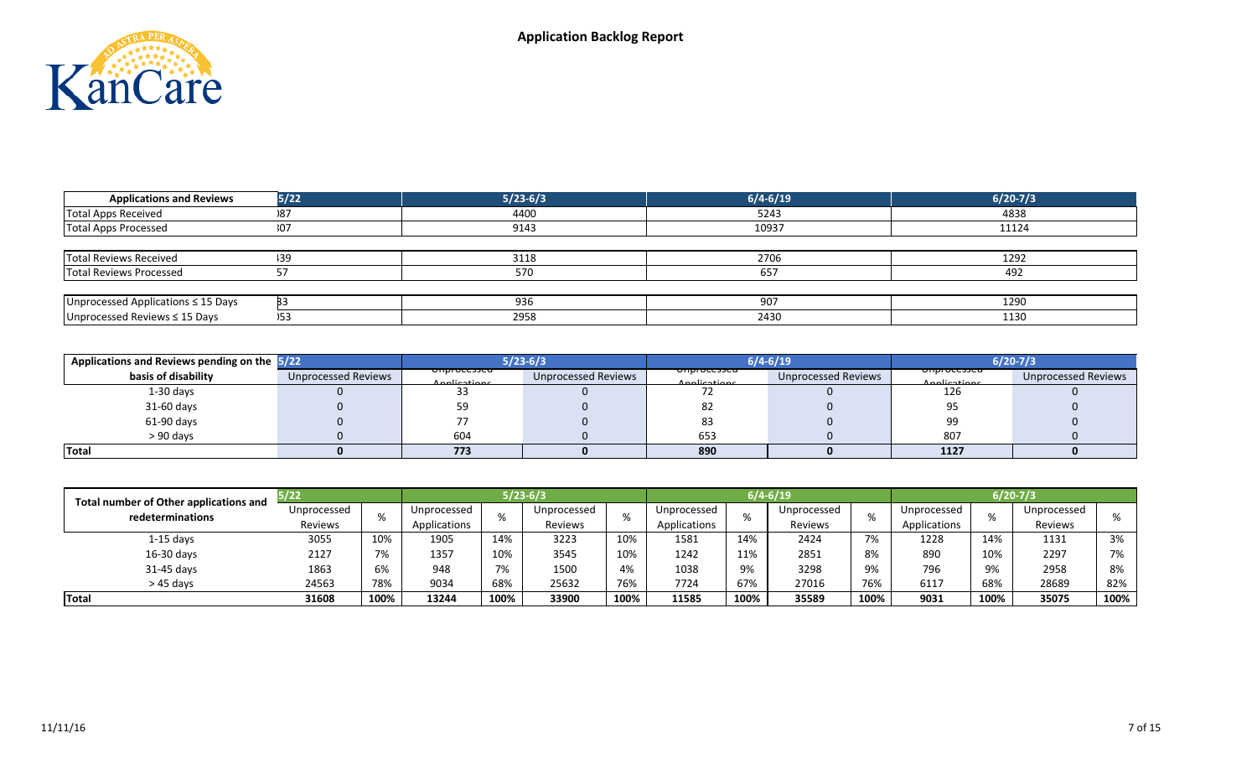

| <b>Applications and Reviews</b>         | 5/22 | $5/23-6/3$ | $6/4 - 6/19$ | $6/20-7/3$ |
|-----------------------------------------|------|------------|--------------|------------|
| Total Apps Received                     | 187  | 4400       | 5243         | 4838       |
| Total Apps Processed                    | 307  | 9143       | 10937        | 11124      |
|                                         |      |            |              |            |
| Total Reviews Received                  | 139  | 3118       | 2706         | 1292       |
| Total Reviews Processed                 |      | 570        | 657          | 492        |
|                                         |      |            |              |            |
| Unprocessed Applications $\leq$ 15 Days |      | 936        | 907          | 1290       |
| Unprocessed Reviews ≤ 15 Days           |      | 2958       | 2430         | 1130       |

| Applications and Reviews pending on the 5/22 |                            |                                          | $5/23-6/3$          |                                          | $6/4 - 6/19$               | $6/20 - 7/3$                             |                            |  |  |
|----------------------------------------------|----------------------------|------------------------------------------|---------------------|------------------------------------------|----------------------------|------------------------------------------|----------------------------|--|--|
| basis of disability                          | <b>Unprocessed Reviews</b> | <del>umprocesseu -</del><br>Applications | Unprocessed Reviews | <del>umprocesseu -</del><br>Applications | <b>Unprocessed Reviews</b> | <del>omprocesseu -</del><br>Annlications | <b>Unprocessed Reviews</b> |  |  |
| $1-30$ days                                  |                            |                                          |                     |                                          |                            | 126                                      |                            |  |  |
| 31-60 days                                   |                            |                                          |                     | 82                                       |                            |                                          |                            |  |  |
| $61-90$ days                                 |                            |                                          |                     | -83                                      |                            | 99                                       |                            |  |  |
| $> 90$ days                                  |                            | 604                                      |                     | 653                                      |                            | 807                                      |                            |  |  |
| Total                                        |                            | 773                                      |                     | 890                                      |                            | 1127                                     |                            |  |  |

| Total number of Other applications and | 37 ZZ       |      |              |      | $5/23-6/3$  |      |              |      | 6/4-6/19    |      | 6/20-7/3     |      |             |      |
|----------------------------------------|-------------|------|--------------|------|-------------|------|--------------|------|-------------|------|--------------|------|-------------|------|
| redeterminations                       | Unprocessed | %    | Unprocessed  |      | Unprocessed | %    | Unprocessed  |      | Unprocessed | %    | Unprocessed  |      | Unprocessed |      |
|                                        | Reviews     |      | Applications |      | Reviews     |      | Applications |      | Reviews     |      | Applications |      | Reviews     |      |
| $1-15$ days                            | 3055        | 10%  | 1905         | 14%  | 3223        | 10%  | 1581         | 14%  | 2424        | 7%   | 1228         | 14%  | 1131        | 3%   |
| $16-30$ days                           | 2127        | 7%   | 1357         | 10%  | 3545        | 10%  | 1242         | 11%  | 2851        | 8%   | 890          | 10%  | 2297        | 7%   |
| 31-45 days                             | 1863        | 6%   | 948          | 7%   | 1500        | 4%   | 1038         | 9%   | 3298        | 9%   | 796          | 9%   | 2958        | 8%   |
| $>45$ days                             | 24563       | 78%  | 9034         | 68%  | 25632       | 76%  | 7724         | 67%  | 27016       | 76%  | 6117         | 68%  | 28689       | 82%  |
| Total                                  | 31608       | 100% | 13244        | 100% | 33900       | 100% | 11585        | 100% | 35589       | 100% | 9031         | 100% | 35075       | 100% |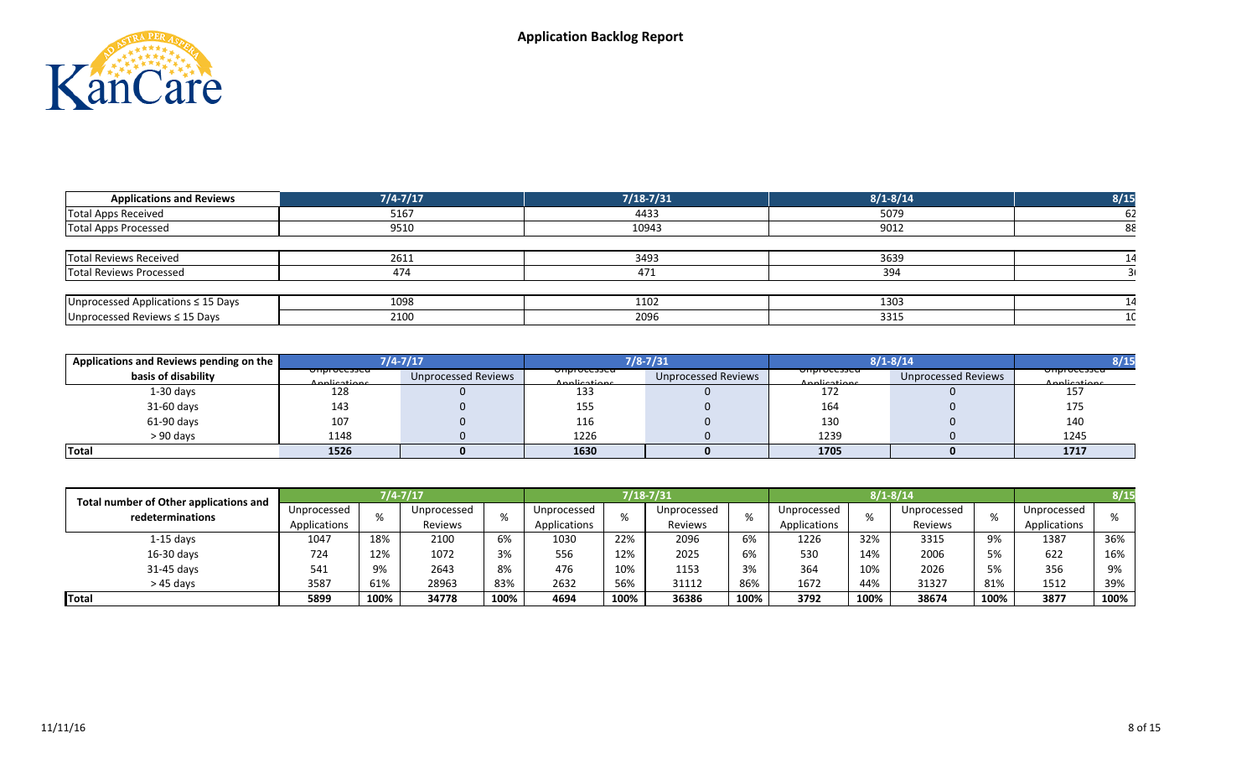

| <b>Applications and Reviews</b>    | $7/4 - 7/17$ | $7/18 - 7/31$ | $8/1 - 8/14$ | 8/15 |
|------------------------------------|--------------|---------------|--------------|------|
| Total Apps Received                | 5167         | 4433          | 5079         | -62  |
| Total Apps Processed               | 9510         | 10943         | 9012         | 88   |
|                                    |              |               |              |      |
| Total Reviews Received             | 2611         | 3493          | 3639         | 14   |
| <b>Total Reviews Processed</b>     | 474          | 471           | 394          |      |
|                                    |              |               |              |      |
| Unprocessed Applications ≤ 15 Days | 1098         | 1102          | 1303         | 14   |
| Unprocessed Reviews ≤ 15 Days      | 2100         | 2096          | 3315         |      |

| Applications and Reviews pending on the |                                          | $7/4 - 7/17$        |                                          | $7/8 - 7/31$        |                                        | $8/1 - 8/14$               |                                        |  |
|-----------------------------------------|------------------------------------------|---------------------|------------------------------------------|---------------------|----------------------------------------|----------------------------|----------------------------------------|--|
| basis of disability                     | <del>omprocesseu -</del><br>Applications | Unprocessed Reviews | <del>umprocesseu -</del><br>Annlications | Unprocessed Reviews | <del>omprocesseu</del><br>Applications | <b>Unprocessed Reviews</b> | <del>omprocesseu</del><br>Applications |  |
| $1-30$ days                             | 128                                      |                     | 133                                      |                     | 172                                    |                            | 157                                    |  |
| 31-60 days                              | 143                                      |                     | 155                                      |                     | 164                                    |                            | 175                                    |  |
| 61-90 days                              | 107                                      |                     | 116                                      |                     | 130                                    |                            | 140                                    |  |
| $> 90$ davs                             | 1148                                     |                     | 1226                                     |                     | 1239                                   |                            | 1245                                   |  |
| Total                                   | 1526                                     |                     | 1630                                     |                     | 1705                                   |                            | 1717                                   |  |

| Total number of Other applications and |              |      | $7/4 - 7/17$ |      |              |         | 7/18-7/31   |              |             | $8/1 - 8/14$ |             | 8/1.         |             |      |
|----------------------------------------|--------------|------|--------------|------|--------------|---------|-------------|--------------|-------------|--------------|-------------|--------------|-------------|------|
| redeterminations                       | Unprocessed  |      | Unprocessed  |      | Unprocessed  | %       | Unprocessed | %            | Unprocessed |              | Unprocessed | %            | Unprocessed |      |
|                                        | Applications |      | Reviews      |      | Applications | Reviews |             | Applications |             | Reviews      |             | Applications |             |      |
| $1-15$ days                            | 1047         | 18%  | 2100         | 6%   | 1030         | 22%     | 2096        | 6%           | 1226        | 32%          | 3315        | 9%           | 1387        | 36%  |
| $16-30$ days                           | 724          | 12%  | 1072         | 3%   | 556          | 12%     | 2025        | 6%           | 530         | 14%          | 2006        | 5%           | 622         | 16%  |
| 31-45 days                             | 541          | 9%   | 2643         | 8%   | 476          | 10%     | 1153        | 3%           | 364         | 10%          | 2026        | 5%           | 356         | 9%   |
| $>45$ davs                             | 3587         | 61%  | 28963        | 83%  | 2632         | 56%     | 31112       | 86%          | 1672        | 44%          | 31327       | 81%          | 1512        | 39%  |
| Total                                  | 5899         | 100% | 34778        | 100% | 4694         | 100%    | 36386       | 100%         | 3792        | 100%         | 38674       | 100%         | 3877        | 100% |